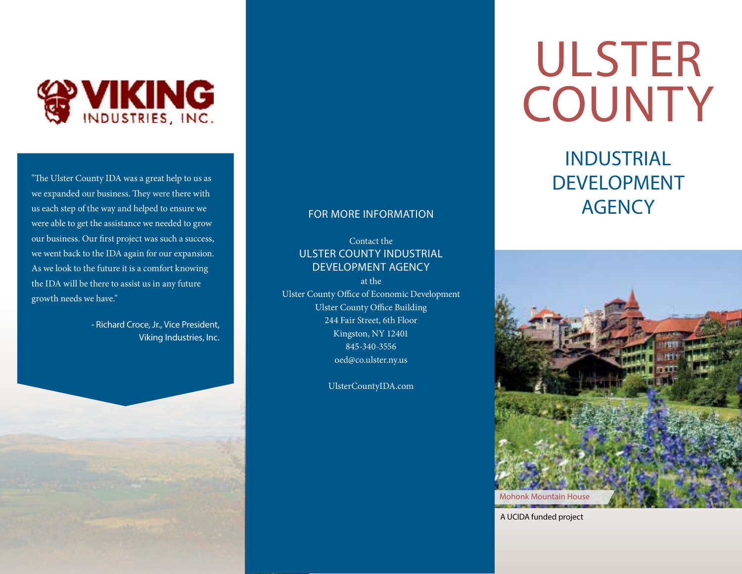

"The Ulster County IDA was a great help to us as we expanded our business. They were there with us each step of the way and helped to ensure we were able to get the assistance we needed to grow our business. Our first project was such a success, we went back to the IDA again for our expansion. As we look to the future it is a comfort knowing the IDA will be there to assist us in any future growth needs we have."

> - Richard Croce, Jr., Vice President, Viking Industries, Inc.

#### FOR MORE INFORMATION

Contact theULSTER COUNTY INDUSTRIALDEVELOPMENT AGENCY

at theUlster County Office of Economic Development Ulster County Office Building 244 Fair Street, 6th Floor Kingston, NY 12401 845-340-3556 oed@co.ulster.ny.us

[UlsterCountyIDA.com](http://UlsterCountyIDA.com)

ULSTER **COUNTY** 

## INDUSTRIAL DEVELOPMENT **AGENCY**



A UCIDA funded project